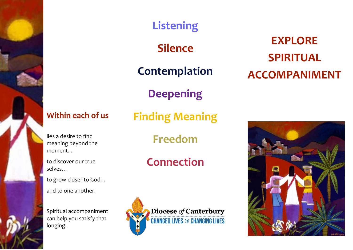# **Listening**

**Silence**

**Contemplation**

**Deepening**

# **Within each of us**

lies a desire to find meaning beyond the moment...

to discover our true selves…

to grow closer to God…

and to one another.

Spiritual accompaniment can help you satisfy that longing.

**Finding Meaning**

**Freedom**

# **Connection**



**EXPLORE SPIRITUAL ACCOMPANIMENT**